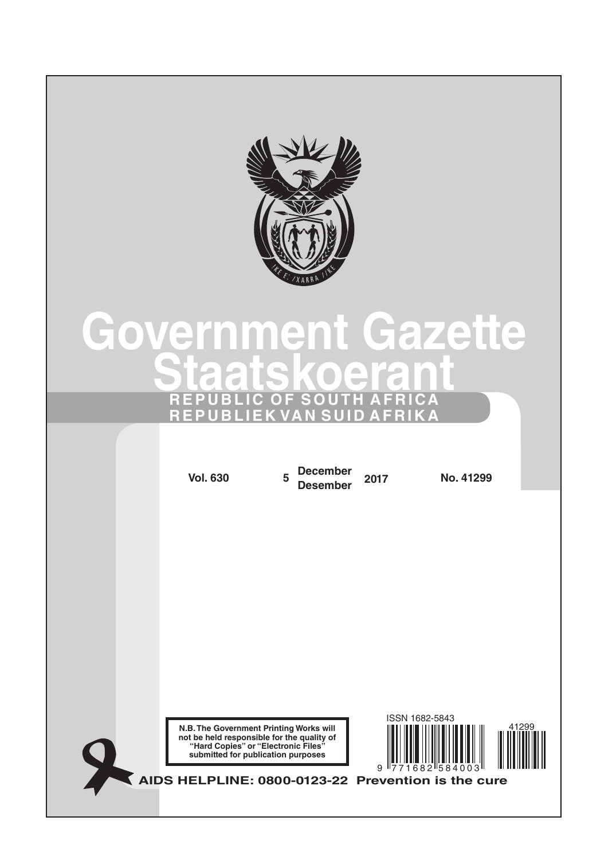

# **Government Gazette Staatskoerant REPUBLIC OF SOUTH AFRICA REPUBLIEK VAN SUID AFRIKA**

**N.B. The Government Printing Works will not be held responsible for the quality of "Hard Copies" or "Electronic Files" submitted for publication purposes AIDS HELPLINE: 0800-0123-22 Prevention is the cure Vol. 630 <sup>5</sup> December Desember <sup>2017</sup> No. 41299** 9 771682 584003 ISSN 1682-5843 41299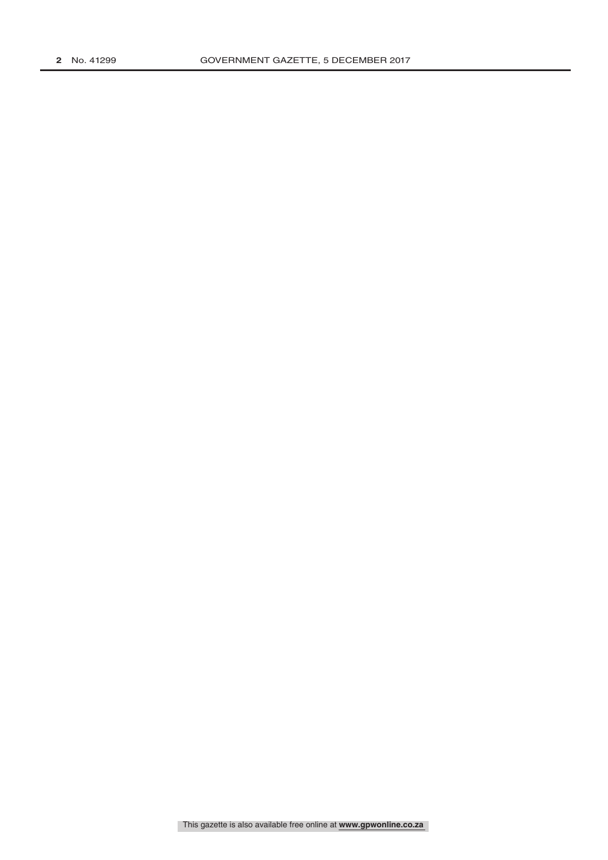This gazette is also available free online at **www.gpwonline.co.za**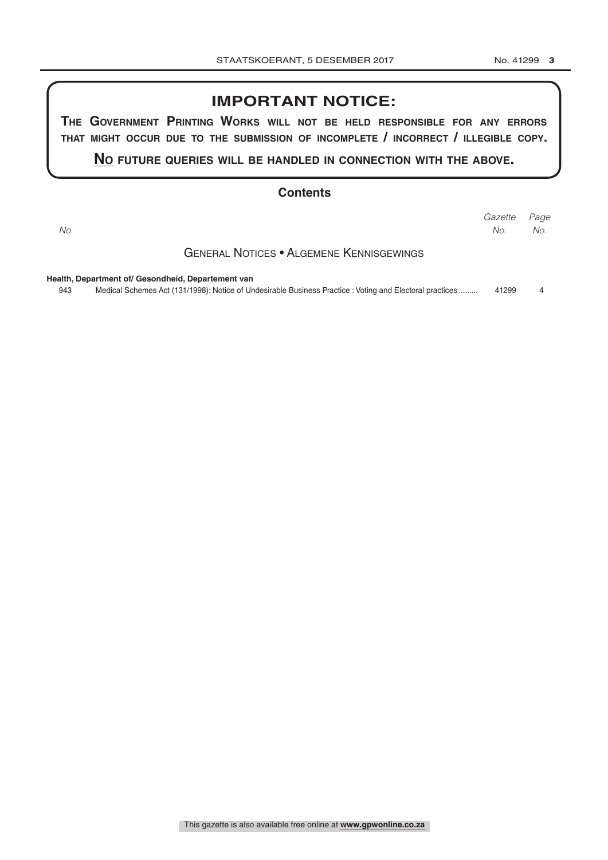### **IMPORTANT NOTICE:**

**The GovernmenT PrinTinG Works Will noT be held resPonsible for any errors ThaT miGhT occur due To The submission of incomPleTe / incorrecT / illeGible coPy.**

**no fuTure queries Will be handled in connecTion WiTh The above.**

#### **Contents**

|     |                                                                                                          | Gazette | Page |
|-----|----------------------------------------------------------------------------------------------------------|---------|------|
| No. |                                                                                                          | No.     | No.  |
|     | <b>GENERAL NOTICES • ALGEMENE KENNISGEWINGS</b>                                                          |         |      |
|     | Health, Department of/ Gesondheid, Departement van                                                       |         |      |
| 943 | Medical Schemes Act (131/1998): Notice of Undesirable Business Practice : Voting and Electoral practices | 41299   | 4    |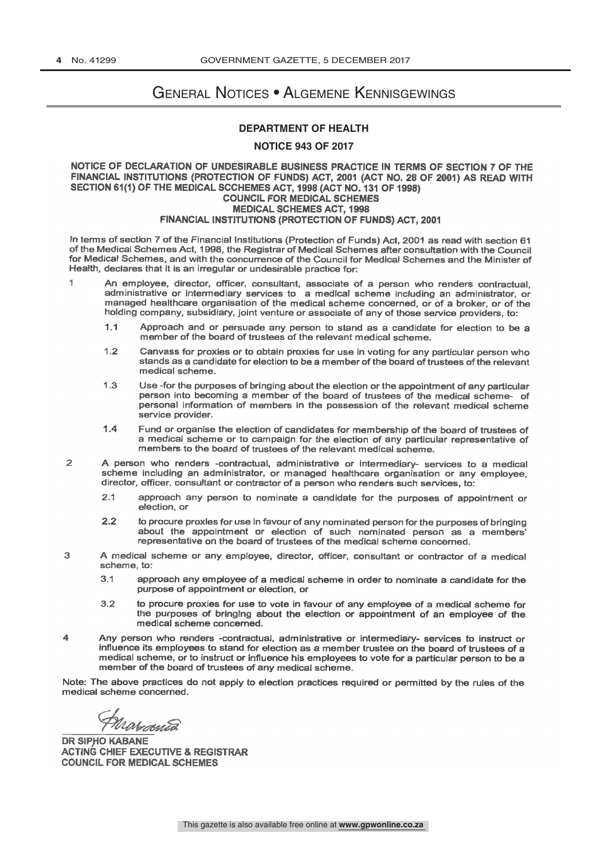## General Notices • Algemene Kennisgewings

#### **DEPARTMENT OF HEALTH**

#### **NOTICE 943 OF 2017**

#### NOTICE OF DECLARATION OF UNDESIRABLE BUSINESS PRACTICE IN TERMS OF SECTION 7 OF THE FINANCIAL INSTITUTIONS (PROTECTION OF FUNDS) ACT, 2001 (ACT NO. 28 OF 2001) AS READ WITH SECTION 61(1) OF THE MEDICAL SCCHEMES ACT, 1998 (ACT NO. 131 OF 1998) COUNCIL FOR MEDICAL SCHEMES MEDICAL SCHEMES ACT, 1998 FINANCIAL INSTITUTIONS (PROTECTION OF FUNDS) ACT, 2001

In terms of section 7 of the Financial Institutions (Protection of Funds) Act, 2001 as read with section 61 of the Medical Schemes Act, 1998, the Registrar of Medical Schemes after consultation with the Council for Medical Schemes, and with the concurrence of the Council for Medical Schemes and the Minister of Health, declares that it is an irregular or undesirable practice for:

- $\mathbf{I}$ An employee, director, officer, consultant, associate of a person who renders contractual, administrative or intermediary services to a medical scheme including an administrator, or managed healthcare organisation of the m holding company, subsidiary, joint venture or associate of any of those service providers, to:
	- $1.1$ Approach and or persuade any person to stand as a candidate for election to be a member of the board of trustees of the relevant medical scheme.
	- 1.2 Canvass for proxies or to obtain proxies for use in voting for any particular person who stands as a candidate for election to be a member of the board of trustees of the relevant medical scheme.
	- 1.3 Use -for the purposes of bringing about the election or the appointment of any particular person into becoming a member of the board of trustees of the medical scheme- of personal information of members in the possessi service provider.
	- $14$ Fund or organise the election of candidates for membership of the board of trustees of a medical scheme or to campaign for the election of any particular representative of members to the board of trustees of the relevant m
- $\overline{2}$ A person who renders -contractual, administrative or intermediary- services to a medical scheme including an administrator, or managed healthcare organisation or any employee, director, officer, consultant or contractor of a person who renders such services, to:
	- 2.1 approach any person to nominate a candidate for the purposes of appointment or election, or
	- $2.2$ to procure proxies for use in favour of any nominated person for the purposes of bringing<br>about the appointment or election of such nominated person as a members'<br>representative on the board of trustees of the medical sche
- 3 A medical scheme or any employee, director, officer, consultant or contractor of a medical scheme, to:
	- 3.1 approach any employee of a medical scheme in order to nominate a candidate for the purpose of appointment or election, or
	- $3.2$ to procure proxies for use to vote in favour of any employee of a medical scheme for the purposes of bringing about the election or appointment of an employee of the medical scheme concerned.
- 4 Any person who renders -contractual, administrative or intermediary- services to instruct or medical scheme, or to instruct or influence his employees to vote for a particular person to be a<br>member of the board of trustees of any medical scheme.

Note: The above practices do not apply to election practices required or permitted by the rules of the medical scheme concerned.

Anorconão

**DR SIPHO KABANE ACTING CHIEF EXECUTIVE & REGISTRAR COUNCIL FOR MEDICAL SCHEMES**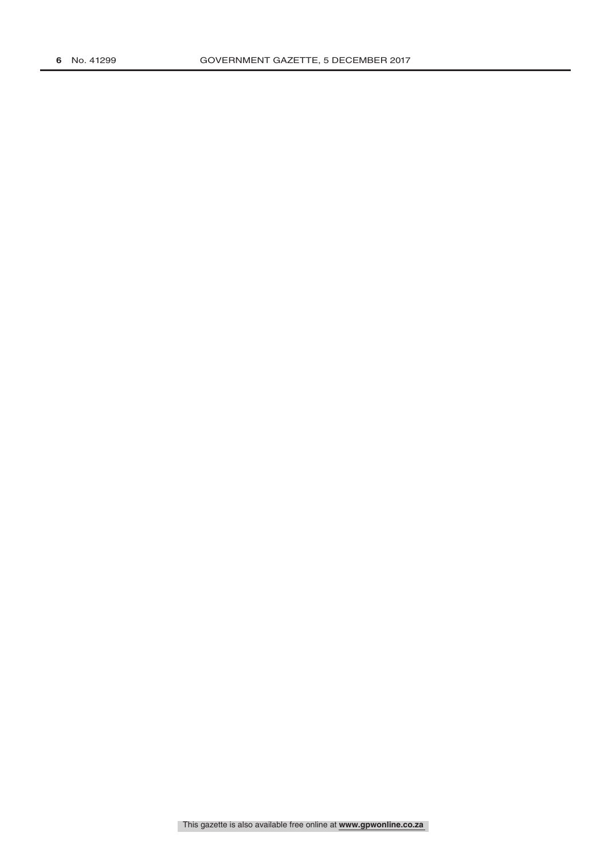This gazette is also available free online at **www.gpwonline.co.za**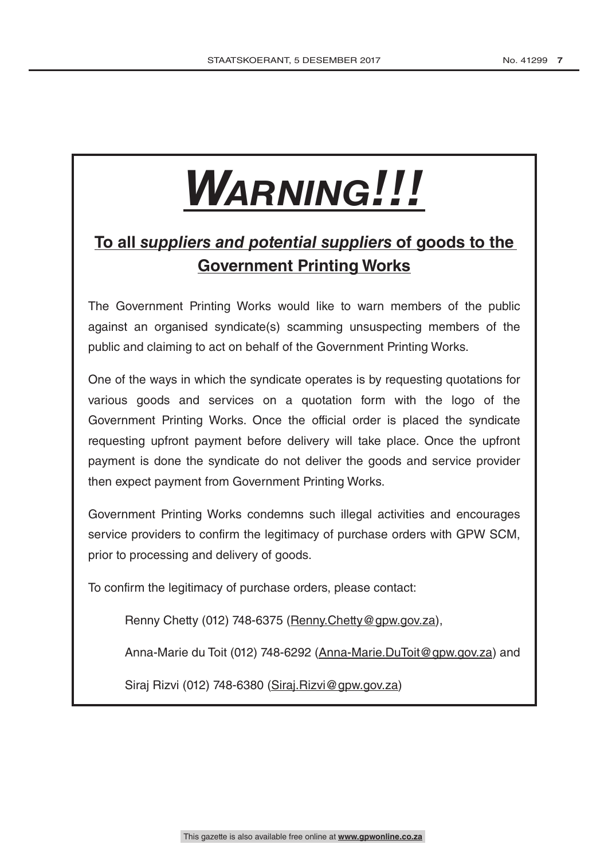# *Warning!!!*

# **To all** *suppliers and potential suppliers* **of goods to the Government Printing Works**

The Government Printing Works would like to warn members of the public against an organised syndicate(s) scamming unsuspecting members of the public and claiming to act on behalf of the Government Printing Works.

One of the ways in which the syndicate operates is by requesting quotations for various goods and services on a quotation form with the logo of the Government Printing Works. Once the official order is placed the syndicate requesting upfront payment before delivery will take place. Once the upfront payment is done the syndicate do not deliver the goods and service provider then expect payment from Government Printing Works.

Government Printing Works condemns such illegal activities and encourages service providers to confirm the legitimacy of purchase orders with GPW SCM, prior to processing and delivery of goods.

To confirm the legitimacy of purchase orders, please contact:

Renny Chetty (012) 748-6375 (Renny.Chetty@gpw.gov.za),

Anna-Marie du Toit (012) 748-6292 (Anna-Marie.DuToit@gpw.gov.za) and

Siraj Rizvi (012) 748-6380 (Siraj. Rizvi@gpw.gov.za)